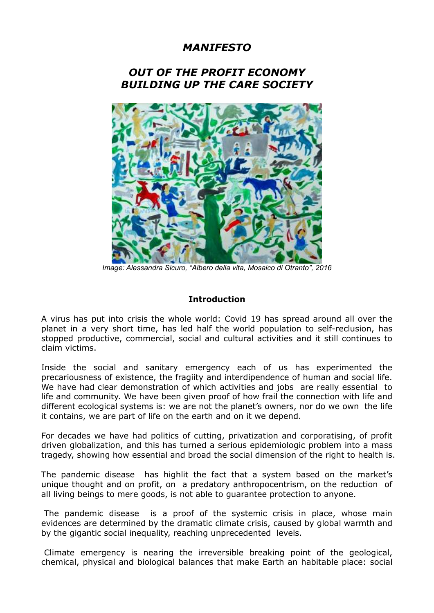# *MANIFESTO*

## *OUT OF THE PROFIT ECONOMY BUILDING UP THE CARE SOCIETY*



*Image: Alessandra Sicuro, "Albero della vita, Mosaico di Otranto", 2016*

#### **Introduction**

A virus has put into crisis the whole world: Covid 19 has spread around all over the planet in a very short time, has led half the world population to self-reclusion, has stopped productive, commercial, social and cultural activities and it still continues to claim victims.

Inside the social and sanitary emergency each of us has experimented the precariousness of existence, the fragiity and interdipendence of human and social life. We have had clear demonstration of which activities and jobs are really essential to life and community. We have been given proof of how frail the connection with life and different ecological systems is: we are not the planet's owners, nor do we own the life it contains, we are part of life on the earth and on it we depend.

For decades we have had politics of cutting, privatization and corporatising, of profit driven globalization, and this has turned a serious epidemiologic problem into a mass tragedy, showing how essential and broad the social dimension of the right to health is.

The pandemic disease has highlit the fact that a system based on the market's unique thought and on profit, on a predatory anthropocentrism, on the reduction of all living beings to mere goods, is not able to guarantee protection to anyone.

The pandemic disease is a proof of the systemic crisis in place, whose main evidences are determined by the dramatic climate crisis, caused by global warmth and by the gigantic social inequality, reaching unprecedented levels.

Climate emergency is nearing the irreversible breaking point of the geological, chemical, physical and biological balances that make Earth an habitable place: social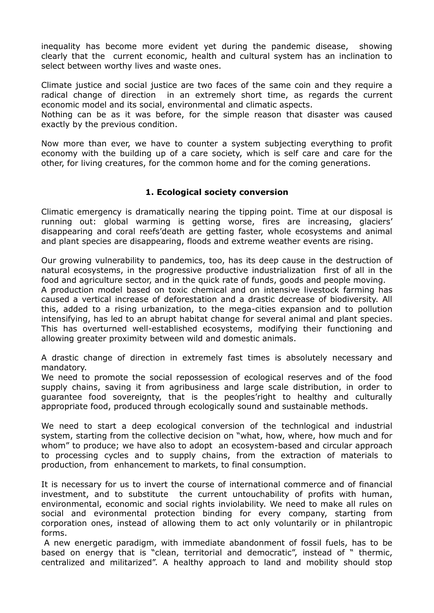inequality has become more evident yet during the pandemic disease, showing clearly that the current economic, health and cultural system has an inclination to select between worthy lives and waste ones.

Climate justice and social justice are two faces of the same coin and they require a radical change of direction in an extremely short time, as regards the current economic model and its social, environmental and climatic aspects.

Nothing can be as it was before, for the simple reason that disaster was caused exactly by the previous condition.

Now more than ever, we have to counter a system subjecting everything to profit economy with the building up of a care society, which is self care and care for the other, for living creatures, for the common home and for the coming generations.

#### **1. Ecological society conversion**

Climatic emergency is dramatically nearing the tipping point. Time at our disposal is running out: global warming is getting worse, fires are increasing, glaciers' disappearing and coral reefs'death are getting faster, whole ecosystems and animal and plant species are disappearing, floods and extreme weather events are rising.

Our growing vulnerability to pandemics, too, has its deep cause in the destruction of natural ecosystems, in the progressive productive industrialization first of all in the food and agriculture sector, and in the quick rate of funds, goods and people moving. A production model based on toxic chemical and on intensive livestock farming has caused a vertical increase of deforestation and a drastic decrease of biodiversity. All this, added to a rising urbanization, to the mega-cities expansion and to pollution intensifying, has led to an abrupt habitat change for several animal and plant species. This has overturned well-established ecosystems, modifying their functioning and allowing greater proximity between wild and domestic animals.

A drastic change of direction in extremely fast times is absolutely necessary and mandatory.

We need to promote the social repossession of ecological reserves and of the food supply chains, saving it from agribusiness and large scale distribution, in order to guarantee food sovereignty, that is the peoples'right to healthy and culturally appropriate food, produced through ecologically sound and sustainable methods.

We need to start a deep ecological conversion of the technlogical and industrial system, starting from the collective decision on "what, how, where, how much and for whom" to produce; we have also to adopt an ecosystem-based and circular approach to processing cycles and to supply chains, from the extraction of materials to production, from enhancement to markets, to final consumption.

It is necessary for us to invert the course of international commerce and of financial investment, and to substitute the current untouchability of profits with human, environmental, economic and social rights inviolability. We need to make all rules on social and evironmental protection binding for every company, starting from corporation ones, instead of allowing them to act only voluntarily or in philantropic forms.

A new energetic paradigm, with immediate abandonment of fossil fuels, has to be based on energy that is "clean, territorial and democratic", instead of " thermic, centralized and militarized". A healthy approach to land and mobility should stop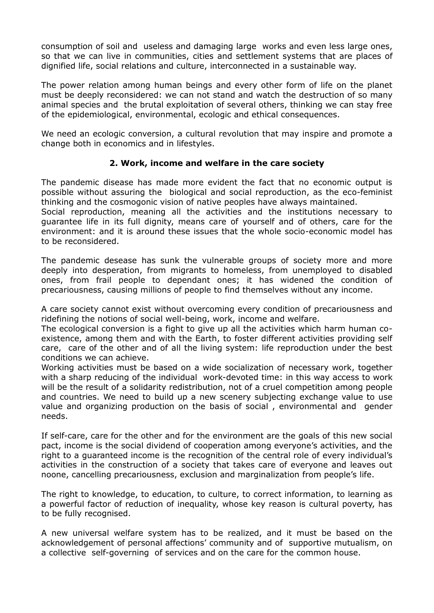consumption of soil and useless and damaging large works and even less large ones, so that we can live in communities, cities and settlement systems that are places of dignified life, social relations and culture, interconnected in a sustainable way.

The power relation among human beings and every other form of life on the planet must be deeply reconsidered: we can not stand and watch the destruction of so many animal species and the brutal exploitation of several others, thinking we can stay free of the epidemiological, environmental, ecologic and ethical consequences.

We need an ecologic conversion, a cultural revolution that may inspire and promote a change both in economics and in lifestyles.

### **2. Work, income and welfare in the care society**

The pandemic disease has made more evident the fact that no economic output is possible without assuring the biological and social reproduction, as the eco-feminist thinking and the cosmogonic vision of native peoples have always maintained.

Social reproduction, meaning all the activities and the institutions necessary to guarantee life in its full dignity, means care of yourself and of others, care for the environment: and it is around these issues that the whole socio-economic model has to be reconsidered.

The pandemic desease has sunk the vulnerable groups of society more and more deeply into desperation, from migrants to homeless, from unemployed to disabled ones, from frail people to dependant ones; it has widened the condition of precariousness, causing millions of people to find themselves without any income.

A care society cannot exist without overcoming every condition of precariousness and ridefining the notions of social well-being, work, income and welfare.

The ecological conversion is a fight to give up all the activities which harm human coexistence, among them and with the Earth, to foster different activities providing self care, care of the other and of all the living system: life reproduction under the best conditions we can achieve.

Working activities must be based on a wide socialization of necessary work, together with a sharp reducing of the individual work-devoted time: in this way access to work will be the result of a solidarity redistribution, not of a cruel competition among people and countries. We need to build up a new scenery subjecting exchange value to use value and organizing production on the basis of social , environmental and gender needs.

If self-care, care for the other and for the environment are the goals of this new social pact, income is the social dividend of cooperation among everyone's activities, and the right to a guaranteed income is the recognition of the central role of every individual's activities in the construction of a society that takes care of everyone and leaves out noone, cancelling precariousness, exclusion and marginalization from people's life.

The right to knowledge, to education, to culture, to correct information, to learning as a powerful factor of reduction of inequality, whose key reason is cultural poverty, has to be fully recognised.

A new universal welfare system has to be realized, and it must be based on the acknowledgement of personal affections' community and of supportive mutualism, on a collective self-governing of services and on the care for the common house.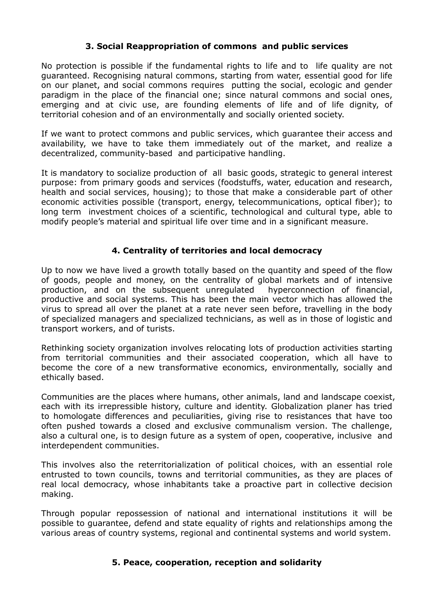### **3. Social Reappropriation of commons and public services**

No protection is possible if the fundamental rights to life and to life quality are not guaranteed. Recognising natural commons, starting from water, essential good for life on our planet, and social commons requires putting the social, ecologic and gender paradigm in the place of the financial one; since natural commons and social ones, emerging and at civic use, are founding elements of life and of life dignity, of territorial cohesion and of an environmentally and socially oriented society.

If we want to protect commons and public services, which guarantee their access and availability, we have to take them immediately out of the market, and realize a decentralized, community-based and participative handling.

It is mandatory to socialize production of all basic goods, strategic to general interest purpose: from primary goods and services (foodstuffs, water, education and research, health and social services, housing); to those that make a considerable part of other economic activities possible (transport, energy, telecommunications, optical fiber); to long term investment choices of a scientific, technological and cultural type, able to modify people's material and spiritual life over time and in a significant measure.

### **4. Centrality of territories and local democracy**

Up to now we have lived a growth totally based on the quantity and speed of the flow of goods, people and money, on the centrality of global markets and of intensive production, and on the subsequent unregulated hyperconnection of financial, productive and social systems. This has been the main vector which has allowed the virus to spread all over the planet at a rate never seen before, travelling in the body of specialized managers and specialized technicians, as well as in those of logistic and transport workers, and of turists.

Rethinking society organization involves relocating lots of production activities starting from territorial communities and their associated cooperation, which all have to become the core of a new transformative economics, environmentally, socially and ethically based.

Communities are the places where humans, other animals, land and landscape coexist, each with its irrepressible history, culture and identity. Globalization planer has tried to homologate differences and peculiarities, giving rise to resistances that have too often pushed towards a closed and exclusive communalism version. The challenge, also a cultural one, is to design future as a system of open, cooperative, inclusive and interdependent communities.

This involves also the reterritorialization of political choices, with an essential role entrusted to town councils, towns and territorial communities, as they are places of real local democracy, whose inhabitants take a proactive part in collective decision making.

Through popular repossession of national and international institutions it will be possible to guarantee, defend and state equality of rights and relationships among the various areas of country systems, regional and continental systems and world system.

#### **5. Peace, cooperation, reception and solidarity**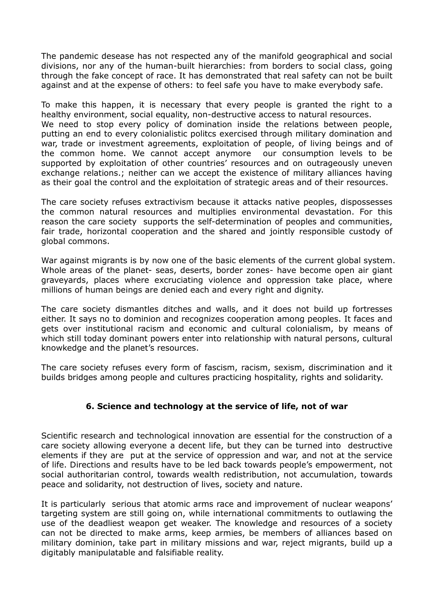The pandemic desease has not respected any of the manifold geographical and social divisions, nor any of the human-built hierarchies: from borders to social class, going through the fake concept of race. It has demonstrated that real safety can not be built against and at the expense of others: to feel safe you have to make everybody safe.

To make this happen, it is necessary that every people is granted the right to a healthy environment, social equality, non-destructive access to natural resources. We need to stop every policy of domination inside the relations between people, putting an end to every colonialistic politcs exercised through military domination and war, trade or investment agreements, exploitation of people, of living beings and of the common home. We cannot accept anymore our consumption levels to be supported by exploitation of other countries' resources and on outrageously uneven exchange relations.; neither can we accept the existence of military alliances having as their goal the control and the exploitation of strategic areas and of their resources.

The care society refuses extractivism because it attacks native peoples, dispossesses the common natural resources and multiplies environmental devastation. For this reason the care society supports the self-determination of peoples and communities, fair trade, horizontal cooperation and the shared and jointly responsible custody of global commons.

War against migrants is by now one of the basic elements of the current global system. Whole areas of the planet- seas, deserts, border zones- have become open air giant graveyards, places where excruciating violence and oppression take place, where millions of human beings are denied each and every right and dignity.

The care society dismantles ditches and walls, and it does not build up fortresses either. It says no to dominion and recognizes cooperation among peoples. It faces and gets over institutional racism and economic and cultural colonialism, by means of which still today dominant powers enter into relationship with natural persons, cultural knowkedge and the planet's resources.

The care society refuses every form of fascism, racism, sexism, discrimination and it builds bridges among people and cultures practicing hospitality, rights and solidarity.

## **6. Science and technology at the service of life, not of war**

Scientific research and technological innovation are essential for the construction of a care society allowing everyone a decent life, but they can be turned into destructive elements if they are put at the service of oppression and war, and not at the service of life. Directions and results have to be led back towards people's empowerment, not social authoritarian control, towards wealth redistribution, not accumulation, towards peace and solidarity, not destruction of lives, society and nature.

It is particularly serious that atomic arms race and improvement of nuclear weapons' targeting system are still going on, while international commitments to outlawing the use of the deadliest weapon get weaker. The knowledge and resources of a society can not be directed to make arms, keep armies, be members of alliances based on military dominion, take part in military missions and war, reject migrants, build up a digitably manipulatable and falsifiable reality.